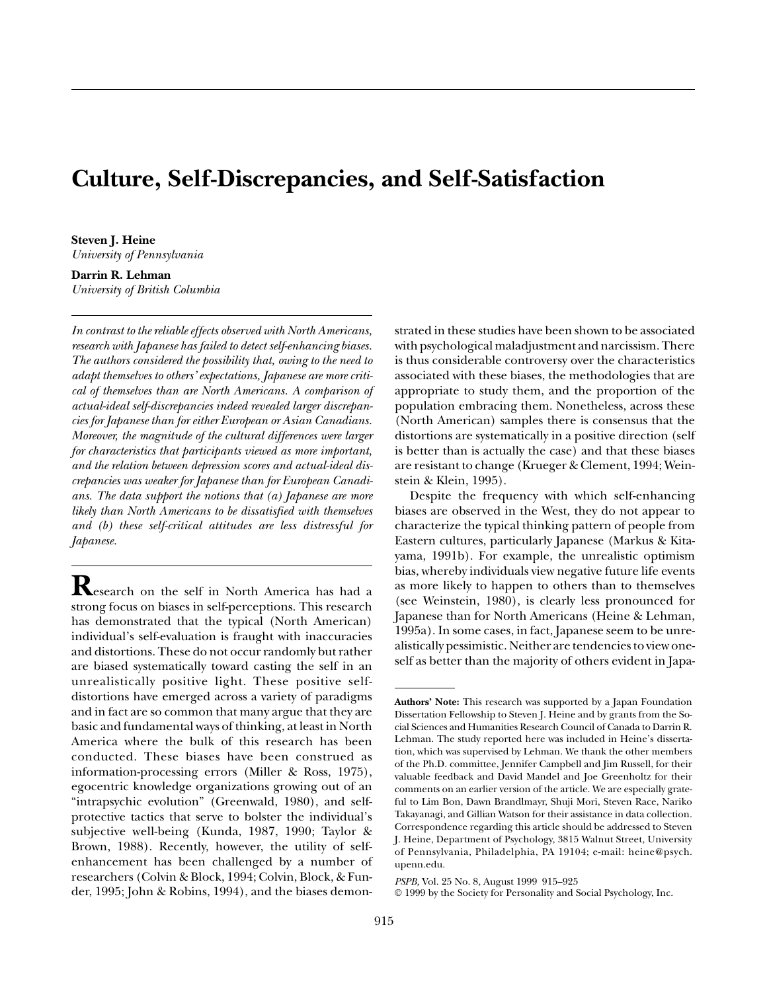# **Culture, Self-Discrepancies, and Self-Satisfaction**

**Steven J. Heine** *University of Pennsylvania*

Heine, Lehman / CULTURE AND SELF-SATISFACTION

**Darrin R. Lehman** *University of British Columbia*

*In contrast to the reliable effects observed with North Americans, research with Japanese has failed to detect self-enhancing biases. The authors considered the possibility that, owing to the need to adapt themselves to others' expectations, Japanese are more critical of themselves than are North Americans. A comparison of actual-ideal self-discrepancies indeed revealed larger discrepancies for Japanese than for either European or Asian Canadians. Moreover, the magnitude of the cultural differences were larger for characteristics that participants viewed as more important, and the relation between depression scores and actual-ideal discrepancies was weaker for Japanese than for European Canadians. The data support the notions that (a) Japanese are more likely than North Americans to be dissatisfied with themselves and (b) these self-critical attitudes are less distressful for Japanese.*

**R**esearch on the self in North America has had a strong focus on biases in self-perceptions. This research has demonstrated that the typical (North American) individual's self-evaluation is fraught with inaccuracies and distortions. These do not occur randomly but rather are biased systematically toward casting the self in an unrealistically positive light. These positive selfdistortions have emerged across a variety of paradigms and in fact are so common that many argue that they are basic and fundamental ways of thinking, at least in North America where the bulk of this research has been conducted. These biases have been construed as information-processing errors (Miller & Ross, 1975), egocentric knowledge organizations growing out of an "intrapsychic evolution" (Greenwald, 1980), and selfprotective tactics that serve to bolster the individual's subjective well-being (Kunda, 1987, 1990; Taylor & Brown, 1988). Recently, however, the utility of selfenhancement has been challenged by a number of researchers (Colvin & Block, 1994; Colvin, Block, & Funder, 1995; John & Robins, 1994), and the biases demonstrated in these studies have been shown to be associated with psychological maladjustment and narcissism. There is thus considerable controversy over the characteristics associated with these biases, the methodologies that are appropriate to study them, and the proportion of the population embracing them. Nonetheless, across these (North American) samples there is consensus that the distortions are systematically in a positive direction (self is better than is actually the case) and that these biases are resistant to change (Krueger & Clement, 1994; Weinstein & Klein, 1995).

Despite the frequency with which self-enhancing biases are observed in the West, they do not appear to characterize the typical thinking pattern of people from Eastern cultures, particularly Japanese (Markus & Kitayama, 1991b). For example, the unrealistic optimism bias, whereby individuals view negative future life events as more likely to happen to others than to themselves (see Weinstein, 1980), is clearly less pronounced for Japanese than for North Americans (Heine & Lehman, 1995a). In some cases, in fact, Japanese seem to be unrealistically pessimistic. Neither are tendencies to view oneself as better than the majority of others evident in Japa-

**Authors' Note:** This research was supported by a Japan Foundation Dissertation Fellowship to Steven J. Heine and by grants from the Social Sciences and Humanities Research Council of Canada to Darrin R. Lehman. The study reported here was included in Heine's dissertation, which was supervised by Lehman. We thank the other members of the Ph.D. committee, Jennifer Campbell and Jim Russell, for their valuable feedback and David Mandel and Joe Greenholtz for their comments on an earlier version of the article. We are especially grateful to Lim Bon, Dawn Brandlmayr, Shuji Mori, Steven Race, Nariko Takayanagi, and Gillian Watson for their assistance in data collection. Correspondence regarding this article should be addressed to Steven J. Heine, Department of Psychology, 3815 Walnut Street, University of Pennsylvania, Philadelphia, PA 19104; e-mail: heine@psych. upenn.edu.

*PSPB*, Vol. 25 No. 8, August 1999 915-925

<sup>© 1999</sup> by the Society for Personality and Social Psychology, Inc.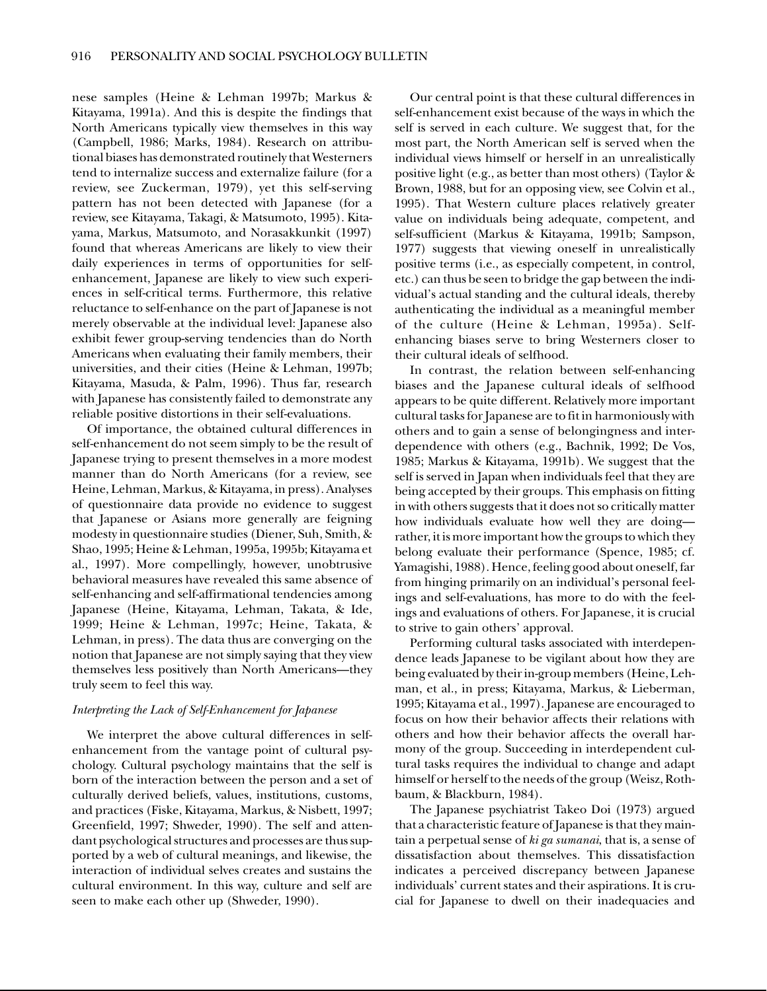nese samples (Heine & Lehman 1997b; Markus & Kitayama, 1991a). And this is despite the findings that North Americans typically view themselves in this way (Campbell, 1986; Marks, 1984). Research on attributional biases has demonstrated routinely that Westerners tend to internalize success and externalize failure (for a review, see Zuckerman, 1979), yet this self-serving pattern has not been detected with Japanese (for a review, see Kitayama, Takagi, & Matsumoto, 1995). Kitayama, Markus, Matsumoto, and Norasakkunkit (1997) found that whereas Americans are likely to view their daily experiences in terms of opportunities for selfenhancement, Japanese are likely to view such experiences in self-critical terms. Furthermore, this relative reluctance to self-enhance on the part of Japanese is not merely observable at the individual level: Japanese also exhibit fewer group-serving tendencies than do North Americans when evaluating their family members, their universities, and their cities (Heine & Lehman, 1997b; Kitayama, Masuda, & Palm, 1996). Thus far, research with Japanese has consistently failed to demonstrate any reliable positive distortions in their self-evaluations.

Of importance, the obtained cultural differences in self-enhancement do not seem simply to be the result of Japanese trying to present themselves in a more modest manner than do North Americans (for a review, see Heine, Lehman, Markus, & Kitayama, in press). Analyses of questionnaire data provide no evidence to suggest that Japanese or Asians more generally are feigning modesty in questionnaire studies (Diener, Suh, Smith, & Shao, 1995; Heine & Lehman, 1995a, 1995b; Kitayama et al., 1997). More compellingly, however, unobtrusive behavioral measures have revealed this same absence of self-enhancing and self-affirmational tendencies among Japanese (Heine, Kitayama, Lehman, Takata, & Ide, 1999; Heine & Lehman, 1997c; Heine, Takata, & Lehman, in press). The data thus are converging on the notion that Japanese are not simply saying that they view themselves less positively than North Americans—they truly seem to feel this way.

## *Interpreting the Lack of Self-Enhancement for Japanese*

We interpret the above cultural differences in selfenhancement from the vantage point of cultural psychology. Cultural psychology maintains that the self is born of the interaction between the person and a set of culturally derived beliefs, values, institutions, customs, and practices (Fiske, Kitayama, Markus, & Nisbett, 1997; Greenfield, 1997; Shweder, 1990). The self and attendant psychological structures and processes are thus supported by a web of cultural meanings, and likewise, the interaction of individual selves creates and sustains the cultural environment. In this way, culture and self are seen to make each other up (Shweder, 1990).

Our central point is that these cultural differences in self-enhancement exist because of the ways in which the self is served in each culture. We suggest that, for the most part, the North American self is served when the individual views himself or herself in an unrealistically positive light (e.g., as better than most others) (Taylor & Brown, 1988, but for an opposing view, see Colvin et al., 1995). That Western culture places relatively greater value on individuals being adequate, competent, and self-sufficient (Markus & Kitayama, 1991b; Sampson, 1977) suggests that viewing oneself in unrealistically positive terms (i.e., as especially competent, in control, etc.) can thus be seen to bridge the gap between the individual's actual standing and the cultural ideals, thereby authenticating the individual as a meaningful member of the culture (Heine & Lehman, 1995a). Selfenhancing biases serve to bring Westerners closer to their cultural ideals of selfhood.

In contrast, the relation between self-enhancing biases and the Japanese cultural ideals of selfhood appears to be quite different. Relatively more important cultural tasks for Japanese are to fit in harmoniously with others and to gain a sense of belongingness and interdependence with others (e.g., Bachnik, 1992; De Vos, 1985; Markus & Kitayama, 1991b). We suggest that the self is served in Japan when individuals feel that they are being accepted by their groups. This emphasis on fitting in with others suggests that it does not so critically matter how individuals evaluate how well they are doing rather, it is more important how the groups to which they belong evaluate their performance (Spence, 1985; cf. Yamagishi, 1988). Hence, feeling good about oneself, far from hinging primarily on an individual's personal feelings and self-evaluations, has more to do with the feelings and evaluations of others. For Japanese, it is crucial to strive to gain others' approval.

Performing cultural tasks associated with interdependence leads Japanese to be vigilant about how they are being evaluated by their in-group members (Heine, Lehman, et al., in press; Kitayama, Markus, & Lieberman, 1995; Kitayama et al., 1997). Japanese are encouraged to focus on how their behavior affects their relations with others and how their behavior affects the overall harmony of the group. Succeeding in interdependent cultural tasks requires the individual to change and adapt himself or herself to the needs of the group (Weisz, Rothbaum, & Blackburn, 1984).

The Japanese psychiatrist Takeo Doi (1973) argued that a characteristic feature of Japanese is that they maintain a perpetual sense of *ki ga sumanai*, that is, a sense of dissatisfaction about themselves. This dissatisfaction indicates a perceived discrepancy between Japanese individuals' current states and their aspirations. It is crucial for Japanese to dwell on their inadequacies and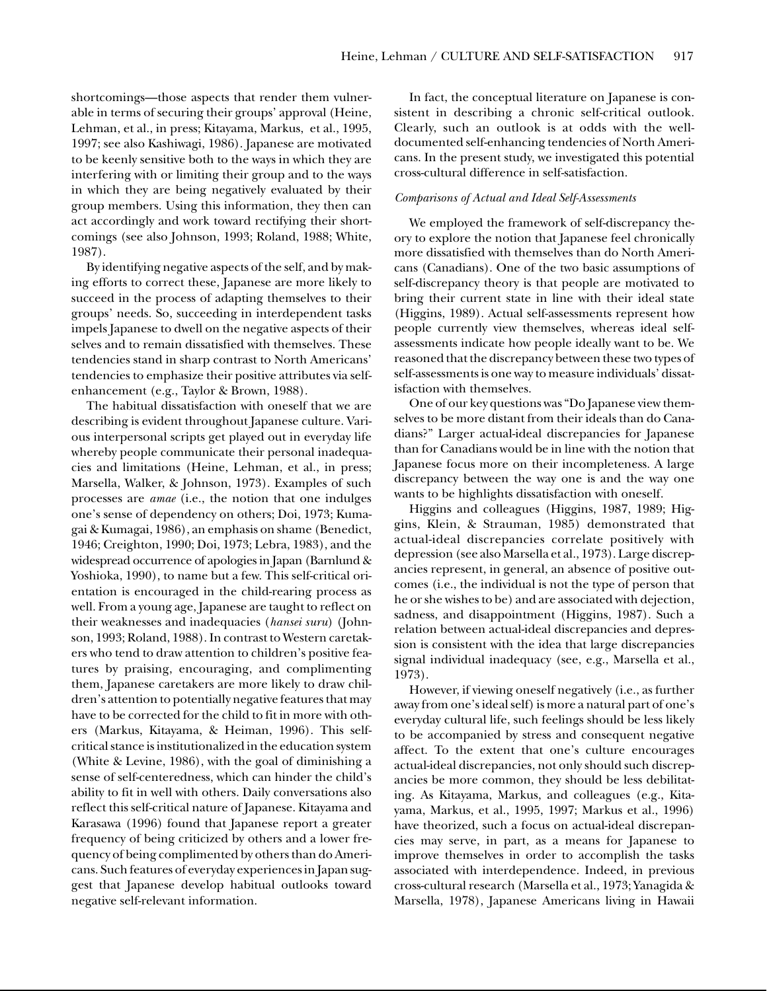shortcomings—those aspects that render them vulnerable in terms of securing their groups' approval (Heine, Lehman, et al., in press; Kitayama, Markus, et al., 1995, 1997; see also Kashiwagi, 1986). Japanese are motivated to be keenly sensitive both to the ways in which they are interfering with or limiting their group and to the ways in which they are being negatively evaluated by their group members. Using this information, they then can act accordingly and work toward rectifying their shortcomings (see also Johnson, 1993; Roland, 1988; White, 1987).

By identifying negative aspects of the self, and by making efforts to correct these, Japanese are more likely to succeed in the process of adapting themselves to their groups' needs. So, succeeding in interdependent tasks impels Japanese to dwell on the negative aspects of their selves and to remain dissatisfied with themselves. These tendencies stand in sharp contrast to North Americans' tendencies to emphasize their positive attributes via selfenhancement (e.g., Taylor & Brown, 1988).

The habitual dissatisfaction with oneself that we are describing is evident throughout Japanese culture. Various interpersonal scripts get played out in everyday life whereby people communicate their personal inadequacies and limitations (Heine, Lehman, et al., in press; Marsella, Walker, & Johnson, 1973). Examples of such processes are *amae* (i.e., the notion that one indulges one's sense of dependency on others; Doi, 1973; Kumagai & Kumagai, 1986), an emphasis on shame (Benedict, 1946; Creighton, 1990; Doi, 1973; Lebra, 1983), and the widespread occurrence of apologies in Japan (Barnlund & Yoshioka, 1990), to name but a few. This self-critical orientation is encouraged in the child-rearing process as well. From a young age, Japanese are taught to reflect on their weaknesses and inadequacies (*hansei suru*) (Johnson, 1993; Roland, 1988). In contrast to Western caretakers who tend to draw attention to children's positive features by praising, encouraging, and complimenting them, Japanese caretakers are more likely to draw children's attention to potentially negative features that may have to be corrected for the child to fit in more with others (Markus, Kitayama, & Heiman, 1996). This selfcritical stance is institutionalized in the education system (White & Levine, 1986), with the goal of diminishing a sense of self-centeredness, which can hinder the child's ability to fit in well with others. Daily conversations also reflect this self-critical nature of Japanese. Kitayama and Karasawa (1996) found that Japanese report a greater frequency of being criticized by others and a lower frequency of being complimented by others than do Americans. Such features of everyday experiences in Japan suggest that Japanese develop habitual outlooks toward negative self-relevant information.

In fact, the conceptual literature on Japanese is consistent in describing a chronic self-critical outlook. Clearly, such an outlook is at odds with the welldocumented self-enhancing tendencies of North Americans. In the present study, we investigated this potential cross-cultural difference in self-satisfaction.

## *Comparisons of Actual and Ideal Self-Assessments*

We employed the framework of self-discrepancy theory to explore the notion that Japanese feel chronically more dissatisfied with themselves than do North Americans (Canadians). One of the two basic assumptions of self-discrepancy theory is that people are motivated to bring their current state in line with their ideal state (Higgins, 1989). Actual self-assessments represent how people currently view themselves, whereas ideal selfassessments indicate how people ideally want to be. We reasoned that the discrepancy between these two types of self-assessments is one way to measure individuals' dissatisfaction with themselves.

One of our key questions was "Do Japanese view themselves to be more distant from their ideals than do Canadians?" Larger actual-ideal discrepancies for Japanese than for Canadians would be in line with the notion that Japanese focus more on their incompleteness. A large discrepancy between the way one is and the way one wants to be highlights dissatisfaction with oneself.

Higgins and colleagues (Higgins, 1987, 1989; Higgins, Klein, & Strauman, 1985) demonstrated that actual-ideal discrepancies correlate positively with depression (see also Marsella et al., 1973). Large discrepancies represent, in general, an absence of positive outcomes (i.e., the individual is not the type of person that he or she wishes to be) and are associated with dejection, sadness, and disappointment (Higgins, 1987). Such a relation between actual-ideal discrepancies and depression is consistent with the idea that large discrepancies signal individual inadequacy (see, e.g., Marsella et al., 1973).

However, if viewing oneself negatively (i.e., as further away from one's ideal self) is more a natural part of one's everyday cultural life, such feelings should be less likely to be accompanied by stress and consequent negative affect. To the extent that one's culture encourages actual-ideal discrepancies, not only should such discrepancies be more common, they should be less debilitating. As Kitayama, Markus, and colleagues (e.g., Kitayama, Markus, et al., 1995, 1997; Markus et al., 1996) have theorized, such a focus on actual-ideal discrepancies may serve, in part, as a means for Japanese to improve themselves in order to accomplish the tasks associated with interdependence. Indeed, in previous cross-cultural research (Marsella et al., 1973; Yanagida & Marsella, 1978), Japanese Americans living in Hawaii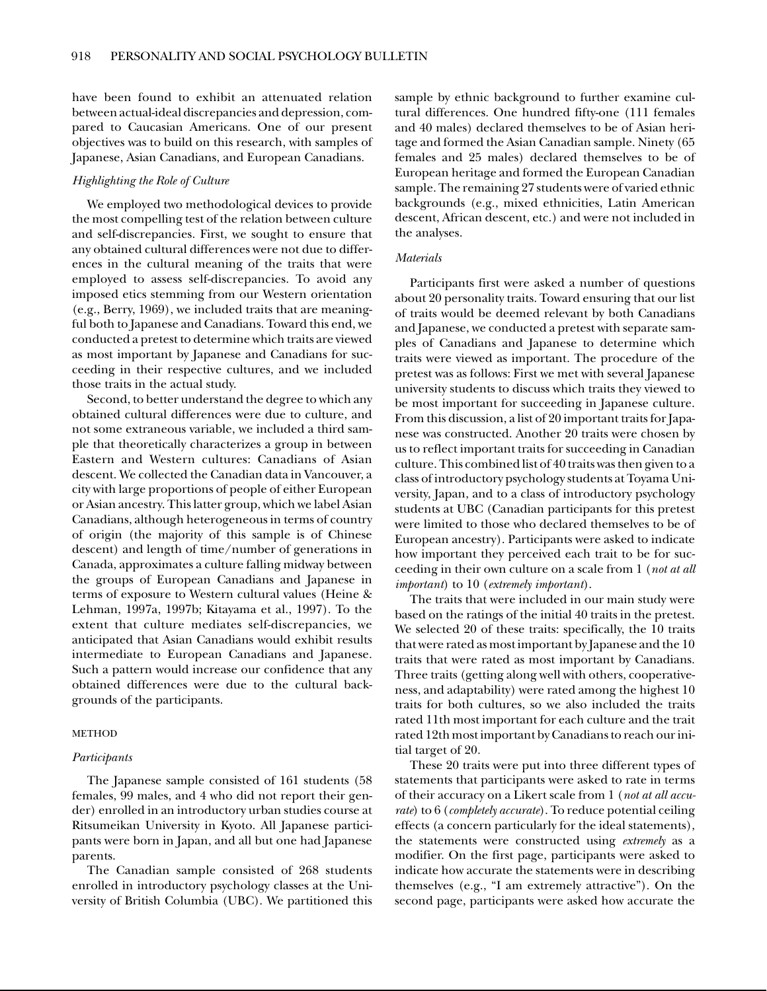have been found to exhibit an attenuated relation between actual-ideal discrepancies and depression, compared to Caucasian Americans. One of our present objectives was to build on this research, with samples of Japanese, Asian Canadians, and European Canadians.

## *Highlighting the Role of Culture*

We employed two methodological devices to provide the most compelling test of the relation between culture and self-discrepancies. First, we sought to ensure that any obtained cultural differences were not due to differences in the cultural meaning of the traits that were employed to assess self-discrepancies. To avoid any imposed etics stemming from our Western orientation (e.g., Berry, 1969), we included traits that are meaningful both to Japanese and Canadians. Toward this end, we conducted a pretest to determine which traits are viewed as most important by Japanese and Canadians for succeeding in their respective cultures, and we included those traits in the actual study.

Second, to better understand the degree to which any obtained cultural differences were due to culture, and not some extraneous variable, we included a third sample that theoretically characterizes a group in between Eastern and Western cultures: Canadians of Asian descent. We collected the Canadian data in Vancouver, a city with large proportions of people of either European or Asian ancestry. This latter group, which we label Asian Canadians, although heterogeneous in terms of country of origin (the majority of this sample is of Chinese descent) and length of time/number of generations in Canada, approximates a culture falling midway between the groups of European Canadians and Japanese in terms of exposure to Western cultural values (Heine & Lehman, 1997a, 1997b; Kitayama et al., 1997). To the extent that culture mediates self-discrepancies, we anticipated that Asian Canadians would exhibit results intermediate to European Canadians and Japanese. Such a pattern would increase our confidence that any obtained differences were due to the cultural backgrounds of the participants.

## METHOD

## *Participants*

The Japanese sample consisted of 161 students (58 females, 99 males, and 4 who did not report their gender) enrolled in an introductory urban studies course at Ritsumeikan University in Kyoto. All Japanese participants were born in Japan, and all but one had Japanese parents.

The Canadian sample consisted of 268 students enrolled in introductory psychology classes at the University of British Columbia (UBC). We partitioned this sample by ethnic background to further examine cultural differences. One hundred fifty-one (111 females and 40 males) declared themselves to be of Asian heritage and formed the Asian Canadian sample. Ninety (65 females and 25 males) declared themselves to be of European heritage and formed the European Canadian sample. The remaining 27 students were of varied ethnic backgrounds (e.g., mixed ethnicities, Latin American descent, African descent, etc.) and were not included in the analyses.

## *Materials*

Participants first were asked a number of questions about 20 personality traits. Toward ensuring that our list of traits would be deemed relevant by both Canadians and Japanese, we conducted a pretest with separate samples of Canadians and Japanese to determine which traits were viewed as important. The procedure of the pretest was as follows: First we met with several Japanese university students to discuss which traits they viewed to be most important for succeeding in Japanese culture. From this discussion, a list of 20 important traits for Japanese was constructed. Another 20 traits were chosen by us to reflect important traits for succeeding in Canadian culture. This combined list of 40 traits was then given to a class of introductory psychology students at Toyama University, Japan, and to a class of introductory psychology students at UBC (Canadian participants for this pretest were limited to those who declared themselves to be of European ancestry). Participants were asked to indicate how important they perceived each trait to be for succeeding in their own culture on a scale from 1 (*not at all important*) to 10 (*extremely important*).

The traits that were included in our main study were based on the ratings of the initial 40 traits in the pretest. We selected 20 of these traits: specifically, the 10 traits that were rated as most important by Japanese and the 10 traits that were rated as most important by Canadians. Three traits (getting along well with others, cooperativeness, and adaptability) were rated among the highest 10 traits for both cultures, so we also included the traits rated 11th most important for each culture and the trait rated 12th most important by Canadians to reach our initial target of 20.

These 20 traits were put into three different types of statements that participants were asked to rate in terms of their accuracy on a Likert scale from 1 (*not at all accurate*) to 6 (*completely accurate*). To reduce potential ceiling effects (a concern particularly for the ideal statements), the statements were constructed using *extremely* as a modifier. On the first page, participants were asked to indicate how accurate the statements were in describing themselves (e.g., "I am extremely attractive"). On the second page, participants were asked how accurate the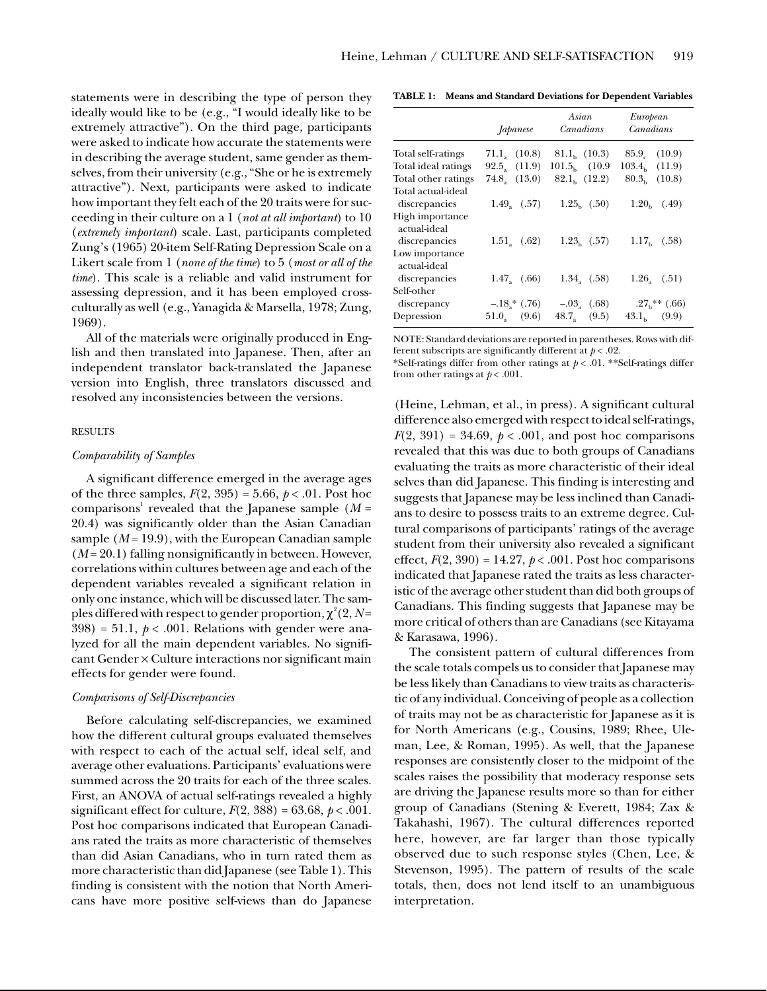statements were in describing the type of person they ideally would like to be (e.g., "I would ideally like to be extremely attractive"). On the third page, participants were asked to indicate how accurate the statements were in describing the average student, same gender as themselves, from their university (e.g., "She or he is extremely attractive"). Next, participants were asked to indicate how important they felt each of the 20 traits were for succeeding in their culture ona1(*not at all important*) to 10 (*extremely important*) scale. Last, participants completed Zung's (1965) 20-item Self-Rating Depression Scale on a Likert scale from 1 (*none of the time*) to 5 (*most or all of the time*). This scale is a reliable and valid instrument for assessing depression, and it has been employed crossculturally as well (e.g., Yanagida & Marsella, 1978; Zung, 1969).

All of the materials were originally produced in English and then translated into Japanese. Then, after an independent translator back-translated the Japanese version into English, three translators discussed and resolved any inconsistencies between the versions.

#### RESULTS

#### *Comparability of Samples*

A significant difference emerged in the average ages of the three samples,  $F(2, 395) = 5.66$ ,  $p < .01$ . Post hoc comparisons<sup>1</sup> revealed that the Japanese sample ( $M =$ 20.4) was significantly older than the Asian Canadian sample  $(M = 19.9)$ , with the European Canadian sample (*M* = 20.1) falling nonsignificantly in between. However, correlations within cultures between age and each of the dependent variables revealed a significant relation in only one instance, which will be discussed later. The samples differed with respect to gender proportion,  $\chi^2(2,N=$  $398$ ) = 51.1,  $p < .001$ . Relations with gender were analyzed for all the main dependent variables. No significant Gender × Culture interactions nor significant main effects for gender were found.

## *Comparisons of Self-Discrepancies*

Before calculating self-discrepancies, we examined how the different cultural groups evaluated themselves with respect to each of the actual self, ideal self, and average other evaluations. Participants' evaluations were summed across the 20 traits for each of the three scales. First, an ANOVA of actual self-ratings revealed a highly significant effect for culture,  $F(2, 388) = 63.68$ ,  $p < .001$ . Post hoc comparisons indicated that European Canadians rated the traits as more characteristic of themselves than did Asian Canadians, who in turn rated them as more characteristic than did Japanese (see Table 1). This finding is consistent with the notion that North Americans have more positive self-views than do Japanese

**TABLE 1: Means and Standard Deviations for Dependent Variables**

|                                                  | Japanese     | Asian<br>Canadians              | European<br>Canadians     |
|--------------------------------------------------|--------------|---------------------------------|---------------------------|
| Total self-ratings                               | 71.1(10.8)   | $81.1k$ (10.3)                  | 85.9(10.9)                |
| Total ideal ratings                              |              | 92.5, $(11.9)$ $101.5$ $(10.9)$ | $103.4b$ (11.9)           |
| Total other ratings                              | 74.8, (13.0) | $82.1b$ (12.2)                  | $80.3b$ (10.8)            |
| Total actual-ideal<br>discrepancies              | 1.49, (0.57) | $1.25b$ (.50)                   | $1.20b$ (.49)             |
| High importance<br>actual-ideal<br>discrepancies | 1.51, (0.62) | $1.23b$ (.57)                   | $1.17h$ (.58)             |
| Low importance<br>actual-ideal                   |              |                                 |                           |
| discrepancies                                    | $1.47$ (.66) | 1.34, (0.58)                    | $1.26$ <sub>2</sub> (.51) |
| Self-other                                       |              |                                 |                           |
| discrepancy                                      |              | $-.18$ , * (.76) $-.03$ , (.68) | $.27$ ,** $(.66)$         |
| Depression                                       | 51.0, (9.6)  | $48.7\degree$ $(9.5)$           | $43.1b$ (9.9)             |

NOTE: Standard deviations are reported in parentheses. Rows with different subscripts are significantly different at *p* < .02.

\*Self-ratings differ from other ratings at  $p < .01$ . \*\*Self-ratings differ from other ratings at  $p < .001$ .

(Heine, Lehman, et al., in press). A significant cultural difference also emerged with respect to ideal self-ratings,  $F(2, 391) = 34.69, p < .001$ , and post hoc comparisons revealed that this was due to both groups of Canadians evaluating the traits as more characteristic of their ideal selves than did Japanese. This finding is interesting and suggests that Japanese may be less inclined than Canadians to desire to possess traits to an extreme degree. Cultural comparisons of participants' ratings of the average student from their university also revealed a significant effect,  $F(2, 390) = 14.27$ ,  $p < .001$ . Post hoc comparisons indicated that Japanese rated the traits as less characteristic of the average other student than did both groups of Canadians. This finding suggests that Japanese may be more critical of others than are Canadians (see Kitayama & Karasawa, 1996).

The consistent pattern of cultural differences from the scale totals compels us to consider that Japanese may be less likely than Canadians to view traits as characteristic of any individual. Conceiving of people as a collection of traits may not be as characteristic for Japanese as it is for North Americans (e.g., Cousins, 1989; Rhee, Uleman, Lee, & Roman, 1995). As well, that the Japanese responses are consistently closer to the midpoint of the scales raises the possibility that moderacy response sets are driving the Japanese results more so than for either group of Canadians (Stening & Everett, 1984; Zax & Takahashi, 1967). The cultural differences reported here, however, are far larger than those typically observed due to such response styles (Chen, Lee, & Stevenson, 1995). The pattern of results of the scale totals, then, does not lend itself to an unambiguous interpretation.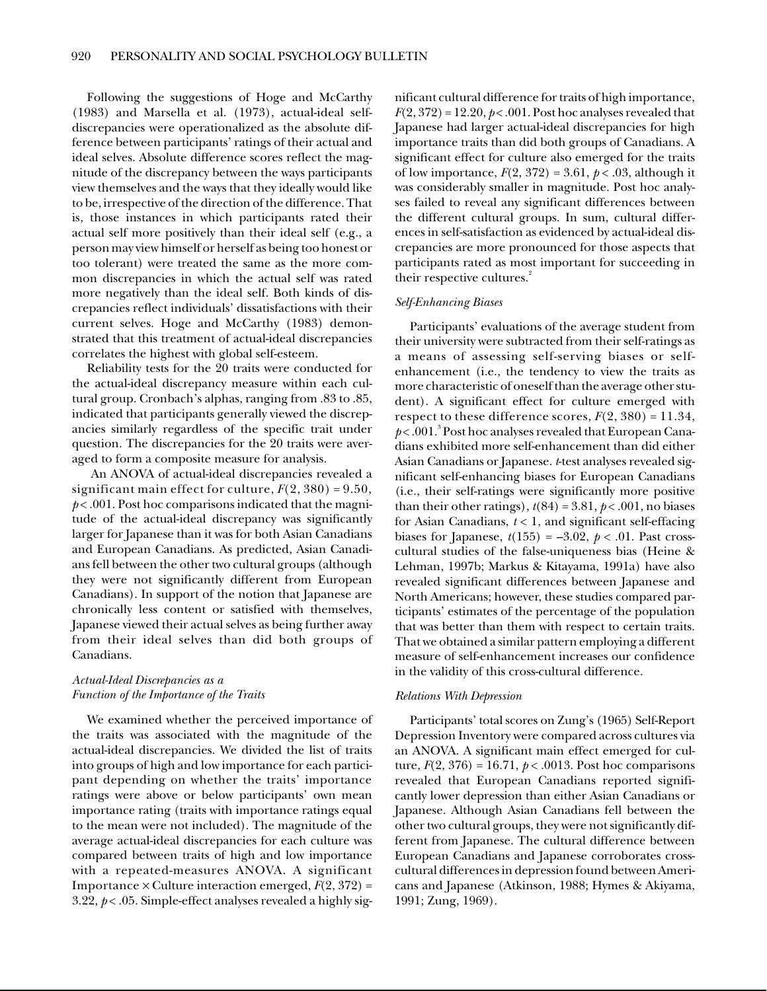Following the suggestions of Hoge and McCarthy (1983) and Marsella et al. (1973), actual-ideal selfdiscrepancies were operationalized as the absolute difference between participants' ratings of their actual and ideal selves. Absolute difference scores reflect the magnitude of the discrepancy between the ways participants view themselves and the ways that they ideally would like to be, irrespective of the direction of the difference. That is, those instances in which participants rated their actual self more positively than their ideal self (e.g., a person may view himself or herself as being too honest or too tolerant) were treated the same as the more common discrepancies in which the actual self was rated more negatively than the ideal self. Both kinds of discrepancies reflect individuals' dissatisfactions with their current selves. Hoge and McCarthy (1983) demonstrated that this treatment of actual-ideal discrepancies correlates the highest with global self-esteem.

Reliability tests for the 20 traits were conducted for the actual-ideal discrepancy measure within each cultural group. Cronbach's alphas, ranging from .83 to .85, indicated that participants generally viewed the discrepancies similarly regardless of the specific trait under question. The discrepancies for the 20 traits were averaged to form a composite measure for analysis.

An ANOVA of actual-ideal discrepancies revealed a significant main effect for culture,  $F(2, 380) = 9.50$ , *p* < .001. Post hoc comparisons indicated that the magnitude of the actual-ideal discrepancy was significantly larger for Japanese than it was for both Asian Canadians and European Canadians. As predicted, Asian Canadians fell between the other two cultural groups (although they were not significantly different from European Canadians). In support of the notion that Japanese are chronically less content or satisfied with themselves, Japanese viewed their actual selves as being further away from their ideal selves than did both groups of Canadians.

# *Actual-Ideal Discrepancies as a Function of the Importance of the Traits*

We examined whether the perceived importance of the traits was associated with the magnitude of the actual-ideal discrepancies. We divided the list of traits into groups of high and low importance for each participant depending on whether the traits' importance ratings were above or below participants' own mean importance rating (traits with importance ratings equal to the mean were not included). The magnitude of the average actual-ideal discrepancies for each culture was compared between traits of high and low importance with a repeated-measures ANOVA. A significant Importance  $\times$  Culture interaction emerged,  $F(2, 372)$  = 3.22,  $p < .05$ . Simple-effect analyses revealed a highly significant cultural difference for traits of high importance,  $F(2, 372) = 12.20, p < .001$ . Post hoc analyses revealed that Japanese had larger actual-ideal discrepancies for high importance traits than did both groups of Canadians. A significant effect for culture also emerged for the traits of low importance,  $F(2, 372) = 3.61$ ,  $p < .03$ , although it was considerably smaller in magnitude. Post hoc analyses failed to reveal any significant differences between the different cultural groups. In sum, cultural differences in self-satisfaction as evidenced by actual-ideal discrepancies are more pronounced for those aspects that participants rated as most important for succeeding in their respective cultures.<sup>2</sup>

# *Self-Enhancing Biases*

Participants' evaluations of the average student from their university were subtracted from their self-ratings as a means of assessing self-serving biases or selfenhancement (i.e., the tendency to view the traits as more characteristic of oneself than the average other student). A significant effect for culture emerged with respect to these difference scores,  $F(2, 380) = 11.34$ ,  $p$ < .001. $^{\rm{3}}$  Post hoc analyses revealed that European Canadians exhibited more self-enhancement than did either Asian Canadians or Japanese. *t*-test analyses revealed significant self-enhancing biases for European Canadians (i.e., their self-ratings were significantly more positive than their other ratings),  $t(84) = 3.81$ ,  $p < .001$ , no biases for Asian Canadians, *t* < 1, and significant self-effacing biases for Japanese,  $t(155) = -3.02$ ,  $p < .01$ . Past crosscultural studies of the false-uniqueness bias (Heine & Lehman, 1997b; Markus & Kitayama, 1991a) have also revealed significant differences between Japanese and North Americans; however, these studies compared participants' estimates of the percentage of the population that was better than them with respect to certain traits. That we obtained a similar pattern employing a different measure of self-enhancement increases our confidence in the validity of this cross-cultural difference.

## *Relations With Depression*

Participants' total scores on Zung's (1965) Self-Report Depression Inventory were compared across cultures via an ANOVA. A significant main effect emerged for culture,  $F(2, 376) = 16.71$ ,  $p < .0013$ . Post hoc comparisons revealed that European Canadians reported significantly lower depression than either Asian Canadians or Japanese. Although Asian Canadians fell between the other two cultural groups, they were not significantly different from Japanese. The cultural difference between European Canadians and Japanese corroborates crosscultural differences in depression found between Americans and Japanese (Atkinson, 1988; Hymes & Akiyama, 1991; Zung, 1969).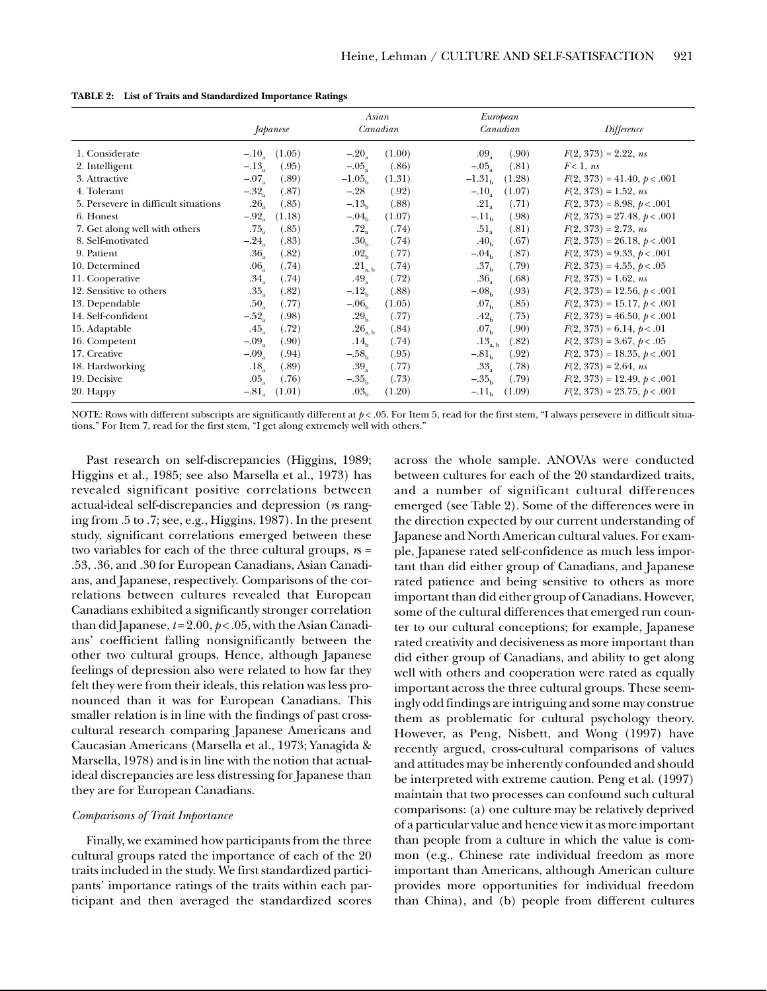|                                      | Japanese                  | Asian<br>Canadian                  | European<br>Canadian      | Difference                    |
|--------------------------------------|---------------------------|------------------------------------|---------------------------|-------------------------------|
| 1. Considerate                       | $-.10,$<br>(1.05)         | (1.00)<br>$-.20,$                  | .09 <sub>a</sub><br>(.90) | $F(2, 373) = 2.22, ns$        |
| 2. Intelligent                       | $-.13,$<br>(.95)          | $-.05,$<br>(.86)                   | $-.05,$<br>(.81)          | $F<1$ , ns                    |
| 3. Attractive                        | $-.07.$<br>(.89)          | (1.31)<br>$-1.05b$                 | $-1.31b$<br>(1.28)        | $F(2, 373) = 41.40, p < .001$ |
| 4. Tolerant                          | $-.32,$<br>(.87)          | (.92)<br>$-.28$                    | $-.10,$<br>(1.07)         | $F(2, 373) = 1.52$ , ns       |
| 5. Persevere in difficult situations | .26.<br>(.85)             | $-.13b$<br>(.88)                   | .21 <sub>a</sub><br>(.71) | $F(2, 373) = 8.98, p < .001$  |
| 6. Honest                            | $-.92,$<br>(1.18)         | $-.04b$<br>(1.07)                  | $-.11b$<br>(.98)          | $F(2, 373) = 27.48, p < .001$ |
| 7. Get along well with others        | $.75_a$<br>(.85)          | (.74)<br>.72 <sub>a</sub>          | .51 <sub>3</sub><br>(.81) | $F(2, 373) = 2.73$ , ns       |
| 8. Self-motivated                    | $-.24,$<br>(.83)          | (.74)<br>.30 <sub>h</sub>          | .40 <sub>h</sub><br>(.67) | $F(2, 373) = 26.18, p < .001$ |
| 9. Patient                           | .36 <sub>1</sub><br>(.82) | (.77)<br>.02 <sub>b</sub>          | $-.04b$<br>(.87)          | $F(2, 373) = 9.33, p < .001$  |
| 10. Determined                       | .06<br>(.74)              | (.74)<br>$.21_{\text{a},\text{b}}$ | .37 <sub>b</sub><br>(.79) | $F(2, 373) = 4.55, p < .05$   |
| 11. Cooperative                      | .34 <sub>1</sub><br>(.74) | (.72)<br>.49 <sub>a</sub>          | .36 <sub>1</sub><br>(.68) | $F(2, 373) = 1.62$ , ns       |
| 12. Sensitive to others              | .35 <sub>1</sub><br>(.82) | (.88)<br>$-.12b$                   | $-.08b$<br>(.93)          | $F(2, 373) = 12.56, p < .001$ |
| 13. Dependable                       | .50 <sub>a</sub><br>(.77) | $-.06b$<br>(1.05)                  | .07 <sub>b</sub><br>(.85) | $F(2, 373) = 15.17, p < .001$ |
| 14. Self-confident                   | $-.52,$<br>(.98)          | (.77)<br>.29 <sub>h</sub>          | .42 <sub>b</sub><br>(.75) | $F(2, 373) = 46.50, p < .001$ |
| 15. Adaptable                        | (.72)<br>.45 <sub>3</sub> | $.26_{\rm a, b}$<br>(.84)          | .07 <sub>b</sub><br>(.90) | $F(2, 373) = 6.14, p < .01$   |
| 16. Competent                        | $-.09_a$<br>(.90)         | (.74)<br>.14 <sub>b</sub>          | $.13_{a,b}$<br>(.82)      | $F(2, 373) = 3.67, p < .05$   |
| 17. Creative                         | $-.09a$<br>(.94)          | $-.58b$<br>(.95)                   | $-.81b$<br>(.92)          | $F(2, 373) = 18.35, p < .001$ |
| 18. Hardworking                      | .18 <sub>a</sub><br>(.89) | (.77)<br>.39 <sub>a</sub>          | .33 <sub>1</sub><br>(.78) | $F(2, 373) = 2.64$ , ns       |
| 19. Decisive                         | .05 <sub>a</sub><br>(.76) | (.73)<br>$-.35b$                   | $-.35b$<br>(.79)          | $F(2, 373) = 12.49, p < .001$ |
| 20. Happy                            | $-.81a$<br>(1.01)         | (1.20)<br>.03 <sub>b</sub>         | $-11b$<br>(1.09)          | $F(2, 373) = 23.75, p < .001$ |

**TABLE 2: List of Traits and Standardized Importance Ratings**

NOTE: Rows with different subscripts are significantly different at  $p < .05$ . For Item 5, read for the first stem, "I always persevere in difficult situations." For Item 7, read for the first stem, "I get along extremely well with others."

Past research on self-discrepancies (Higgins, 1989; Higgins et al., 1985; see also Marsella et al., 1973) has revealed significant positive correlations between actual-ideal self-discrepancies and depression (*r*s ranging from .5 to .7; see, e.g., Higgins, 1987). In the present study, significant correlations emerged between these two variables for each of the three cultural groups, *r*s = .53, .36, and .30 for European Canadians, Asian Canadians, and Japanese, respectively. Comparisons of the correlations between cultures revealed that European Canadians exhibited a significantly stronger correlation than did Japanese, *t* = 2.00, *p* < .05, with the Asian Canadians' coefficient falling nonsignificantly between the other two cultural groups. Hence, although Japanese feelings of depression also were related to how far they felt they were from their ideals, this relation was less pronounced than it was for European Canadians. This smaller relation is in line with the findings of past crosscultural research comparing Japanese Americans and Caucasian Americans (Marsella et al., 1973; Yanagida & Marsella, 1978) and is in line with the notion that actualideal discrepancies are less distressing for Japanese than they are for European Canadians.

## *Comparisons of Trait Importance*

Finally, we examined how participants from the three cultural groups rated the importance of each of the 20 traits included in the study. We first standardized participants' importance ratings of the traits within each participant and then averaged the standardized scores across the whole sample. ANOVAs were conducted between cultures for each of the 20 standardized traits, and a number of significant cultural differences emerged (see Table 2). Some of the differences were in the direction expected by our current understanding of Japanese and North American cultural values. For example, Japanese rated self-confidence as much less important than did either group of Canadians, and Japanese rated patience and being sensitive to others as more important than did either group of Canadians. However, some of the cultural differences that emerged run counter to our cultural conceptions; for example, Japanese rated creativity and decisiveness as more important than did either group of Canadians, and ability to get along well with others and cooperation were rated as equally important across the three cultural groups. These seemingly odd findings are intriguing and some may construe them as problematic for cultural psychology theory. However, as Peng, Nisbett, and Wong (1997) have recently argued, cross-cultural comparisons of values and attitudes may be inherently confounded and should be interpreted with extreme caution. Peng et al. (1997) maintain that two processes can confound such cultural comparisons: (a) one culture may be relatively deprived of a particular value and hence view it as more important than people from a culture in which the value is common (e.g., Chinese rate individual freedom as more important than Americans, although American culture provides more opportunities for individual freedom than China), and (b) people from different cultures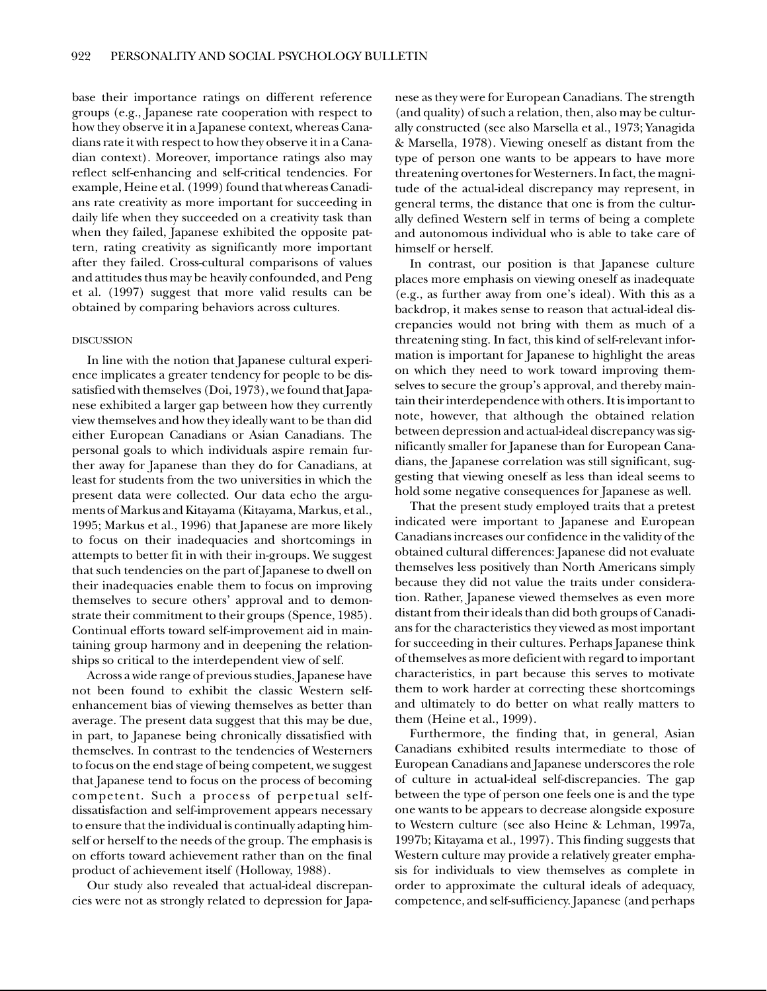base their importance ratings on different reference groups (e.g., Japanese rate cooperation with respect to how they observe it in a Japanese context, whereas Canadians rate it with respect to how they observe it in a Canadian context). Moreover, importance ratings also may reflect self-enhancing and self-critical tendencies. For example, Heine et al. (1999) found that whereas Canadians rate creativity as more important for succeeding in daily life when they succeeded on a creativity task than when they failed, Japanese exhibited the opposite pattern, rating creativity as significantly more important after they failed. Cross-cultural comparisons of values and attitudes thus may be heavily confounded, and Peng et al. (1997) suggest that more valid results can be obtained by comparing behaviors across cultures.

### DISCUSSION

In line with the notion that Japanese cultural experience implicates a greater tendency for people to be dissatisfied with themselves (Doi, 1973), we found that Japanese exhibited a larger gap between how they currently view themselves and how they ideally want to be than did either European Canadians or Asian Canadians. The personal goals to which individuals aspire remain further away for Japanese than they do for Canadians, at least for students from the two universities in which the present data were collected. Our data echo the arguments of Markus and Kitayama (Kitayama, Markus, et al., 1995; Markus et al., 1996) that Japanese are more likely to focus on their inadequacies and shortcomings in attempts to better fit in with their in-groups. We suggest that such tendencies on the part of Japanese to dwell on their inadequacies enable them to focus on improving themselves to secure others' approval and to demonstrate their commitment to their groups (Spence, 1985). Continual efforts toward self-improvement aid in maintaining group harmony and in deepening the relationships so critical to the interdependent view of self.

Across a wide range of previous studies, Japanese have not been found to exhibit the classic Western selfenhancement bias of viewing themselves as better than average. The present data suggest that this may be due, in part, to Japanese being chronically dissatisfied with themselves. In contrast to the tendencies of Westerners to focus on the end stage of being competent, we suggest that Japanese tend to focus on the process of becoming competent. Such a process of perpetual selfdissatisfaction and self-improvement appears necessary to ensure that the individual is continually adapting himself or herself to the needs of the group. The emphasis is on efforts toward achievement rather than on the final product of achievement itself (Holloway, 1988).

Our study also revealed that actual-ideal discrepancies were not as strongly related to depression for Japanese as they were for European Canadians. The strength (and quality) of such a relation, then, also may be culturally constructed (see also Marsella et al., 1973; Yanagida & Marsella, 1978). Viewing oneself as distant from the type of person one wants to be appears to have more threatening overtones for Westerners. In fact, the magnitude of the actual-ideal discrepancy may represent, in general terms, the distance that one is from the culturally defined Western self in terms of being a complete and autonomous individual who is able to take care of himself or herself.

In contrast, our position is that Japanese culture places more emphasis on viewing oneself as inadequate (e.g., as further away from one's ideal). With this as a backdrop, it makes sense to reason that actual-ideal discrepancies would not bring with them as much of a threatening sting. In fact, this kind of self-relevant information is important for Japanese to highlight the areas on which they need to work toward improving themselves to secure the group's approval, and thereby maintain their interdependence with others. It is important to note, however, that although the obtained relation between depression and actual-ideal discrepancy was significantly smaller for Japanese than for European Canadians, the Japanese correlation was still significant, suggesting that viewing oneself as less than ideal seems to hold some negative consequences for Japanese as well.

That the present study employed traits that a pretest indicated were important to Japanese and European Canadians increases our confidence in the validity of the obtained cultural differences: Japanese did not evaluate themselves less positively than North Americans simply because they did not value the traits under consideration. Rather, Japanese viewed themselves as even more distant from their ideals than did both groups of Canadians for the characteristics they viewed as most important for succeeding in their cultures. Perhaps Japanese think of themselves as more deficient with regard to important characteristics, in part because this serves to motivate them to work harder at correcting these shortcomings and ultimately to do better on what really matters to them (Heine et al., 1999).

Furthermore, the finding that, in general, Asian Canadians exhibited results intermediate to those of European Canadians and Japanese underscores the role of culture in actual-ideal self-discrepancies. The gap between the type of person one feels one is and the type one wants to be appears to decrease alongside exposure to Western culture (see also Heine & Lehman, 1997a, 1997b; Kitayama et al., 1997). This finding suggests that Western culture may provide a relatively greater emphasis for individuals to view themselves as complete in order to approximate the cultural ideals of adequacy, competence, and self-sufficiency. Japanese (and perhaps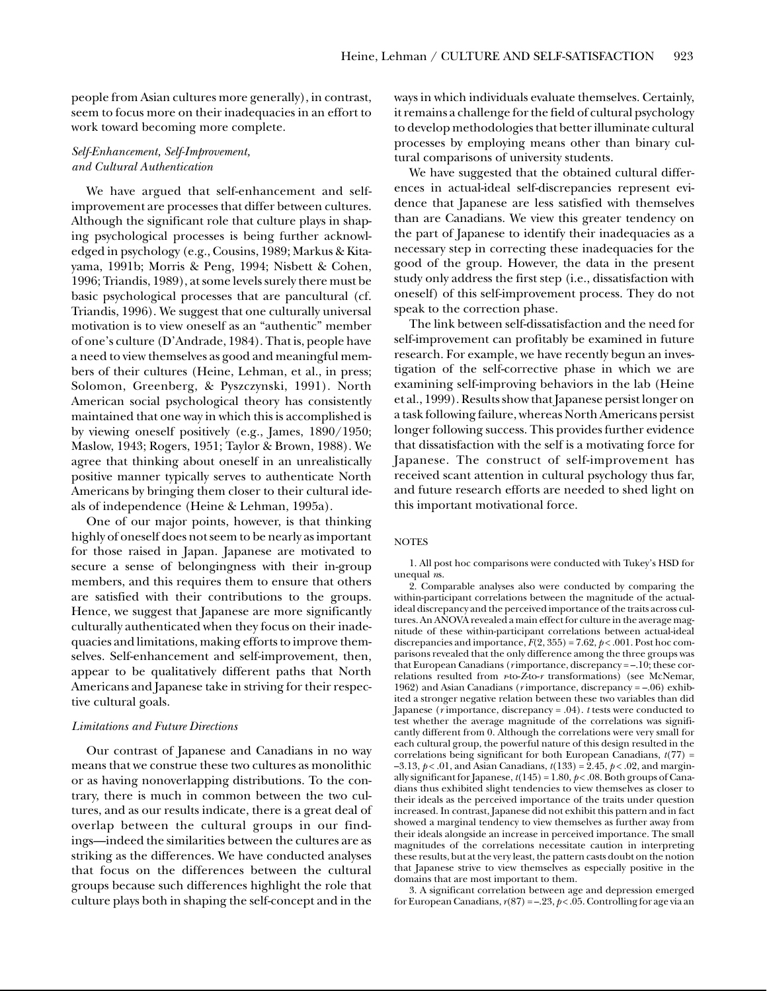people from Asian cultures more generally), in contrast, seem to focus more on their inadequacies in an effort to work toward becoming more complete.

## *Self-Enhancement, Self-Improvement, and Cultural Authentication*

We have argued that self-enhancement and selfimprovement are processes that differ between cultures. Although the significant role that culture plays in shaping psychological processes is being further acknowledged in psychology (e.g., Cousins, 1989; Markus & Kitayama, 1991b; Morris & Peng, 1994; Nisbett & Cohen, 1996; Triandis, 1989), at some levels surely there must be basic psychological processes that are pancultural (cf. Triandis, 1996). We suggest that one culturally universal motivation is to view oneself as an "authentic" member of one's culture (D'Andrade, 1984). That is, people have a need to view themselves as good and meaningful members of their cultures (Heine, Lehman, et al., in press; Solomon, Greenberg, & Pyszczynski, 1991). North American social psychological theory has consistently maintained that one way in which this is accomplished is by viewing oneself positively (e.g., James, 1890/1950; Maslow, 1943; Rogers, 1951; Taylor & Brown, 1988). We agree that thinking about oneself in an unrealistically positive manner typically serves to authenticate North Americans by bringing them closer to their cultural ideals of independence (Heine & Lehman, 1995a).

One of our major points, however, is that thinking highly of oneself does not seem to be nearly as important for those raised in Japan. Japanese are motivated to secure a sense of belongingness with their in-group members, and this requires them to ensure that others are satisfied with their contributions to the groups. Hence, we suggest that Japanese are more significantly culturally authenticated when they focus on their inadequacies and limitations, making efforts to improve themselves. Self-enhancement and self-improvement, then, appear to be qualitatively different paths that North Americans and Japanese take in striving for their respective cultural goals.

## *Limitations and Future Directions*

Our contrast of Japanese and Canadians in no way means that we construe these two cultures as monolithic or as having nonoverlapping distributions. To the contrary, there is much in common between the two cultures, and as our results indicate, there is a great deal of overlap between the cultural groups in our findings—indeed the similarities between the cultures are as striking as the differences. We have conducted analyses that focus on the differences between the cultural groups because such differences highlight the role that culture plays both in shaping the self-concept and in the ways in which individuals evaluate themselves. Certainly, it remains a challenge for the field of cultural psychology to develop methodologies that better illuminate cultural processes by employing means other than binary cultural comparisons of university students.

We have suggested that the obtained cultural differences in actual-ideal self-discrepancies represent evidence that Japanese are less satisfied with themselves than are Canadians. We view this greater tendency on the part of Japanese to identify their inadequacies as a necessary step in correcting these inadequacies for the good of the group. However, the data in the present study only address the first step (i.e., dissatisfaction with oneself) of this self-improvement process. They do not speak to the correction phase.

The link between self-dissatisfaction and the need for self-improvement can profitably be examined in future research. For example, we have recently begun an investigation of the self-corrective phase in which we are examining self-improving behaviors in the lab (Heine et al., 1999). Results show that Japanese persist longer on a task following failure, whereas North Americans persist longer following success. This provides further evidence that dissatisfaction with the self is a motivating force for Japanese. The construct of self-improvement has received scant attention in cultural psychology thus far, and future research efforts are needed to shed light on this important motivational force.

## **NOTES**

1. All post hoc comparisons were conducted with Tukey's HSD for unequal *n*s.

2. Comparable analyses also were conducted by comparing the within-participant correlations between the magnitude of the actualideal discrepancy and the perceived importance of the traits across cultures. An ANOVA revealed a main effect for culture in the average magnitude of these within-participant correlations between actual-ideal discrepancies and importance,  $F(2, 355) = 7.62$ ,  $p < .001$ . Post hoc comparisons revealed that the only difference among the three groups was that European Canadians (*r* importance, discrepancy = –.10; these correlations resulted from *r*-to-*Z*-to-*r* transformations) (see McNemar, 1962) and Asian Canadians (*r* importance, discrepancy = –.06) exhibited a stronger negative relation between these two variables than did Japanese (*r* importance, discrepancy = .04). *t* tests were conducted to test whether the average magnitude of the correlations was significantly different from 0. Although the correlations were very small for each cultural group, the powerful nature of this design resulted in the correlations being significant for both European Canadians, *t*(77) = –3.13, *p* < .01, and Asian Canadians, *t*(133) = 2.45, *p* < .02, and marginally significant for Japanese, *t*(145) = 1.80, *p* < .08. Both groups of Canadians thus exhibited slight tendencies to view themselves as closer to their ideals as the perceived importance of the traits under question increased. In contrast, Japanese did not exhibit this pattern and in fact showed a marginal tendency to view themselves as further away from their ideals alongside an increase in perceived importance. The small magnitudes of the correlations necessitate caution in interpreting these results, but at the very least, the pattern casts doubt on the notion that Japanese strive to view themselves as especially positive in the domains that are most important to them.

3. A significant correlation between age and depression emerged for European Canadians,  $r(87) = -.23$ ,  $p < .05$ . Controlling for age via an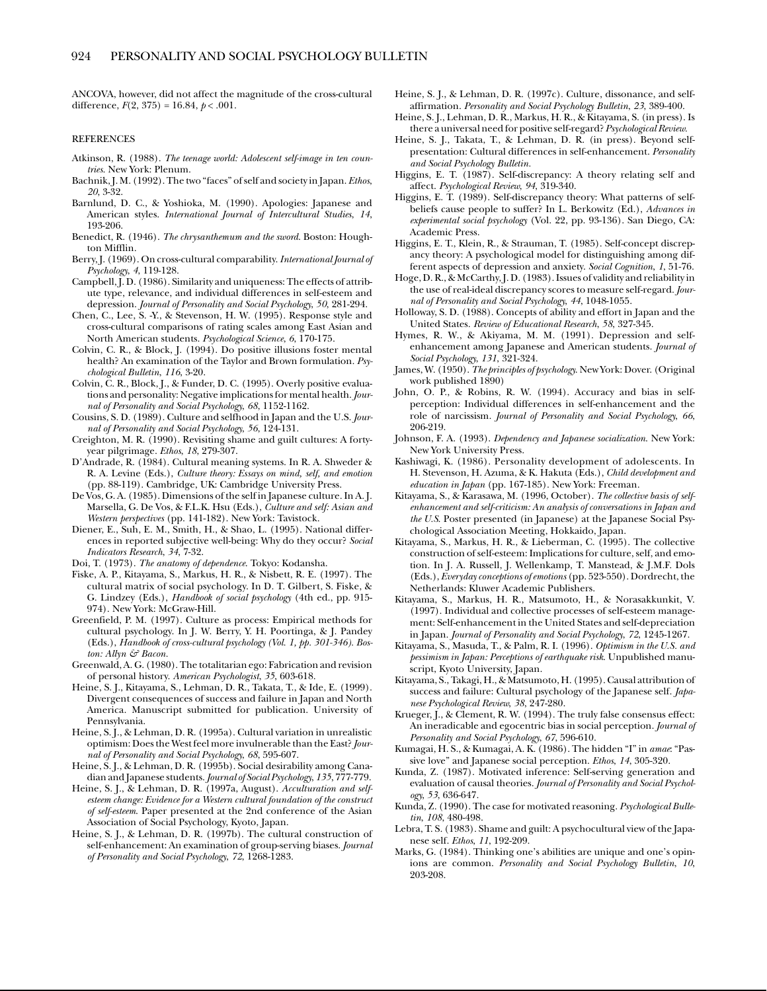ANCOVA, however, did not affect the magnitude of the cross-cultural difference,  $F(2, 375) = 16.84, p < .001$ .

## REFERENCES

- Atkinson, R. (1988). *The teenage world: Adolescent self-image in ten countries*. New York: Plenum.
- Bachnik, J. M. (1992). The two "faces" of self and society in Japan. *Ethos*, *20*, 3-32.
- Barnlund, D. C., & Yoshioka, M. (1990). Apologies: Japanese and American styles. *International Journal of Intercultural Studies*, *14*, 193-206.
- Benedict, R. (1946). *The chrysanthemum and the sword*. Boston: Houghton Mifflin.
- Berry, J. (1969). On cross-cultural comparability. *International Journal of Psychology*, *4*, 119-128.
- Campbell, J. D. (1986). Similarity and uniqueness: The effects of attribute type, relevance, and individual differences in self-esteem and depression. *Journal of Personality and Social Psychology*, *50*, 281-294.
- Chen, C., Lee, S. -Y., & Stevenson, H. W. (1995). Response style and cross-cultural comparisons of rating scales among East Asian and North American students. *Psychological Science*, *6*, 170-175.
- Colvin, C. R., & Block, J. (1994). Do positive illusions foster mental health? An examination of the Taylor and Brown formulation. *Psychological Bulletin*, *116*, 3-20.
- Colvin, C. R., Block, J., & Funder, D. C. (1995). Overly positive evaluations and personality: Negative implications for mental health. *Journal of Personality and Social Psychology*, *68*, 1152-1162.
- Cousins, S. D. (1989). Culture and selfhood in Japan and the U.S. *Journal of Personality and Social Psychology*, *56*, 124-131.
- Creighton, M. R. (1990). Revisiting shame and guilt cultures: A fortyyear pilgrimage. *Ethos*, *18*, 279-307.
- D'Andrade, R. (1984). Cultural meaning systems. In R. A. Shweder & R. A. Levine (Eds.), *Culture theory: Essays on mind, self, and emotion* (pp. 88-119). Cambridge, UK: Cambridge University Press.
- De Vos, G. A. (1985). Dimensions of the self in Japanese culture. In A. J. Marsella, G. De Vos, & F.L.K. Hsu (Eds.), *Culture and self: Asian and Western perspectives* (pp. 141-182). New York: Tavistock.
- Diener, E., Suh, E. M., Smith, H., & Shao, L. (1995). National differences in reported subjective well-being: Why do they occur? *Social Indicators Research*, *34*, 7-32.
- Doi, T. (1973). *The anatomy of dependence*. Tokyo: Kodansha.
- Fiske, A. P., Kitayama, S., Markus, H. R., & Nisbett, R. E. (1997). The cultural matrix of social psychology. In D. T. Gilbert, S. Fiske, & G. Lindzey (Eds.), *Handbook of social psychology* (4th ed., pp. 915- 974). New York: McGraw-Hill.
- Greenfield, P. M. (1997). Culture as process: Empirical methods for cultural psychology. In J. W. Berry, Y. H. Poortinga, & J. Pandey (Eds.), *Handbook of cross-cultural psychology (Vol. 1, pp. 301-346). Boston: Allyn & Bacon.*
- Greenwald, A. G. (1980). The totalitarian ego: Fabrication and revision of personal history. *American Psychologist*, *35*, 603-618.
- Heine, S. J., Kitayama, S., Lehman, D. R., Takata, T., & Ide, E. (1999). Divergent consequences of success and failure in Japan and North America. Manuscript submitted for publication. University of Pennsylvania.
- Heine, S. J., & Lehman, D. R. (1995a). Cultural variation in unrealistic optimism: Does the West feel more invulnerable than the East? *Journal of Personality and Social Psychology*, *68*, 595-607.
- Heine, S. J., & Lehman, D. R. (1995b). Social desirability among Canadian and Japanese students. *Journal of Social Psychology*, *135*, 777-779.
- Heine, S. J., & Lehman, D. R. (1997a, August). *Acculturation and selfesteem change: Evidence for a Western cultural foundation of the construct of self-esteem*. Paper presented at the 2nd conference of the Asian Association of Social Psychology, Kyoto, Japan.
- Heine, S. J., & Lehman, D. R. (1997b). The cultural construction of self-enhancement: An examination of group-serving biases. *Journal of Personality and Social Psychology*, *72*, 1268-1283.
- Heine, S. J., & Lehman, D. R. (1997c). Culture, dissonance, and selfaffirmation. *Personality and Social Psychology Bulletin*, *23*, 389-400.
- Heine, S. J., Lehman, D. R., Markus, H. R., & Kitayama, S. (in press). Is there a universal need for positive self-regard? *Psychological Review.*
- Heine, S. J., Takata, T., & Lehman, D. R. (in press). Beyond selfpresentation: Cultural differences in self-enhancement. *Personality and Social Psychology Bulletin.*
- Higgins, E. T. (1987). Self-discrepancy: A theory relating self and affect. *Psychological Review*, *94*, 319-340.
- Higgins, E. T. (1989). Self-discrepancy theory: What patterns of selfbeliefs cause people to suffer? In L. Berkowitz (Ed.), *Advances in experimental social psychology* (Vol. 22, pp. 93-136). San Diego, CA: Academic Press.
- Higgins, E. T., Klein, R., & Strauman, T. (1985). Self-concept discrepancy theory: A psychological model for distinguishing among different aspects of depression and anxiety. *Social Cognition*, *1*, 51-76.
- Hoge, D. R., & McCarthy, J. D. (1983). Issues of validity and reliability in the use of real-ideal discrepancy scores to measure self-regard. *Journal of Personality and Social Psychology*, *44*, 1048-1055.
- Holloway, S. D. (1988). Concepts of ability and effort in Japan and the United States. *Review of Educational Research*, *58*, 327-345.
- Hymes, R. W., & Akiyama, M. M. (1991). Depression and selfenhancement among Japanese and American students. *Journal of Social Psychology*, *131*, 321-324.
- James, W. (1950). *The principles of psychology*. New York: Dover. (Original work published 1890)
- John, O. P., & Robins, R. W. (1994). Accuracy and bias in selfperception: Individual differences in self-enhancement and the role of narcissism. *Journal of Personality and Social Psychology*, *66*, 206-219.
- Johnson, F. A. (1993). *Dependency and Japanese socialization*. New York: New York University Press.
- Kashiwagi, K. (1986). Personality development of adolescents. In H. Stevenson, H. Azuma, & K. Hakuta (Eds.), *Child development and education in Japan* (pp. 167-185). New York: Freeman.
- Kitayama, S., & Karasawa, M. (1996, October). *The collective basis of selfenhancement and self-criticism: An analysis of conversations in Japan and the U.S*. Poster presented (in Japanese) at the Japanese Social Psychological Association Meeting, Hokkaido, Japan.
- Kitayama, S., Markus, H. R., & Lieberman, C. (1995). The collective construction of self-esteem: Implications for culture, self, and emotion. In J. A. Russell, J. Wellenkamp, T. Manstead, & J.M.F. Dols (Eds.), *Everyday conceptions of emotions* (pp. 523-550). Dordrecht, the Netherlands: Kluwer Academic Publishers.
- Kitayama, S., Markus, H. R., Matsumoto, H., & Norasakkunkit, V. (1997). Individual and collective processes of self-esteem management: Self-enhancement in the United States and self-depreciation in Japan. *Journal of Personality and Social Psychology*, *72*, 1245-1267.
- Kitayama, S., Masuda, T., & Palm, R. I. (1996). *Optimism in the U.S. and pessimism in Japan: Perceptions of earthquake risk*. Unpublished manuscript, Kyoto University, Japan.
- Kitayama, S., Takagi, H., & Matsumoto, H. (1995). Causal attribution of success and failure: Cultural psychology of the Japanese self. *Japanese Psychological Review*, *38*, 247-280.
- Krueger, J., & Clement, R. W. (1994). The truly false consensus effect: An ineradicable and egocentric bias in social perception. *Journal of Personality and Social Psychology*, *67*, 596-610.
- Kumagai, H. S., & Kumagai, A. K. (1986). The hidden "I" in *amae*: "Passive love" and Japanese social perception. *Ethos*, *14*, 305-320.
- Kunda, Z. (1987). Motivated inference: Self-serving generation and evaluation of causal theories. *Journal of Personality and Social Psychology*, *53*, 636-647.
- Kunda, Z. (1990). The case for motivated reasoning. *Psychological Bulletin*, *108*, 480-498.
- Lebra, T. S. (1983). Shame and guilt: A psychocultural view of the Japanese self. *Ethos*, *11*, 192-209.
- Marks, G. (1984). Thinking one's abilities are unique and one's opinions are common. *Personality and Social Psychology Bulletin*, *10*, 203-208.